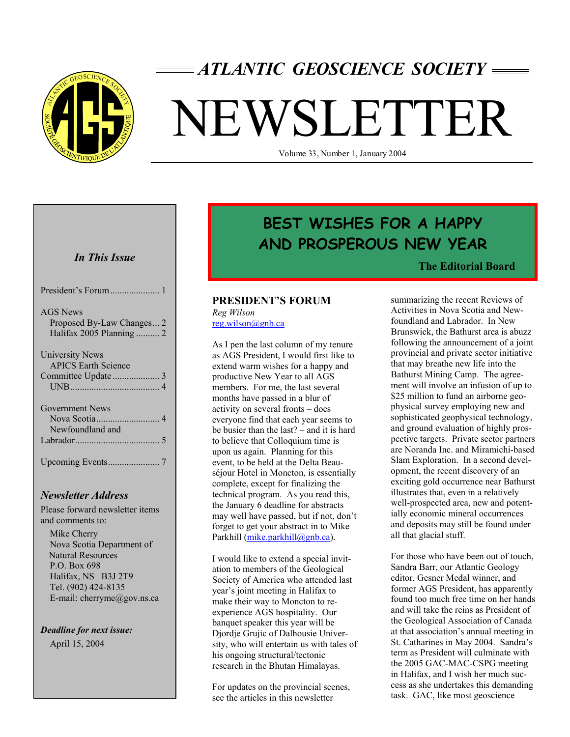

# *ATLANTIC GEOSCIENCE SOCIETY*

# NEWSLETTER

Volume 33, Number 1, January 2004

# *In This Issue*

| <b>AGS</b> News<br>Proposed By-Law Changes 2<br>Halifax 2005 Planning  2 |
|--------------------------------------------------------------------------|
| University News<br><b>APICS Earth Science</b>                            |
| <b>Government News</b><br>Newfoundland and                               |
|                                                                          |

# *Newsletter Address*

Please forward newsletter items and comments to:

 Mike Cherry Nova Scotia Department of Natural Resources P.O. Box 698 Halifax, NS B3J 2T9 Tel. (902) 424-8135 E-mail: cherryme@gov.ns.ca

*Deadline for next issue:* April 15, 2004

# **BEST WISHES FOR A HAPPY AND PROSPEROUS NEW YEAR**

# **The Editorial Board**

# **PRESIDENT'S FORUM**

*Reg Wilson*  reg.wilson@gnb.ca

As I pen the last column of my tenure as AGS President, I would first like to extend warm wishes for a happy and productive New Year to all AGS members. For me, the last several months have passed in a blur of activity on several fronts – does everyone find that each year seems to be busier than the last? – and it is hard to believe that Colloquium time is upon us again. Planning for this event, to be held at the Delta Beauséjour Hotel in Moncton, is essentially complete, except for finalizing the technical program. As you read this, the January 6 deadline for abstracts may well have passed, but if not, don't forget to get your abstract in to Mike Parkhill (mike.parkhill@gnb.ca).

I would like to extend a special invitation to members of the Geological Society of America who attended last year's joint meeting in Halifax to make their way to Moncton to reexperience AGS hospitality. Our banquet speaker this year will be Djordje Grujic of Dalhousie University, who will entertain us with tales of his ongoing structural/tectonic research in the Bhutan Himalayas.

For updates on the provincial scenes, see the articles in this newsletter

summarizing the recent Reviews of Activities in Nova Scotia and Newfoundland and Labrador. In New Brunswick, the Bathurst area is abuzz following the announcement of a joint provincial and private sector initiative that may breathe new life into the Bathurst Mining Camp. The agreement will involve an infusion of up to \$25 million to fund an airborne geophysical survey employing new and sophisticated geophysical technology, and ground evaluation of highly prospective targets. Private sector partners are Noranda Inc. and Miramichi-based Slam Exploration. In a second development, the recent discovery of an exciting gold occurrence near Bathurst illustrates that, even in a relatively well-prospected area, new and potentially economic mineral occurrences and deposits may still be found under all that glacial stuff.

For those who have been out of touch, Sandra Barr, our Atlantic Geology editor, Gesner Medal winner, and former AGS President, has apparently found too much free time on her hands and will take the reins as President of the Geological Association of Canada at that association's annual meeting in St. Catharines in May 2004. Sandra's term as President will culminate with the 2005 GAC-MAC-CSPG meeting in Halifax, and I wish her much success as she undertakes this demanding task. GAC, like most geoscience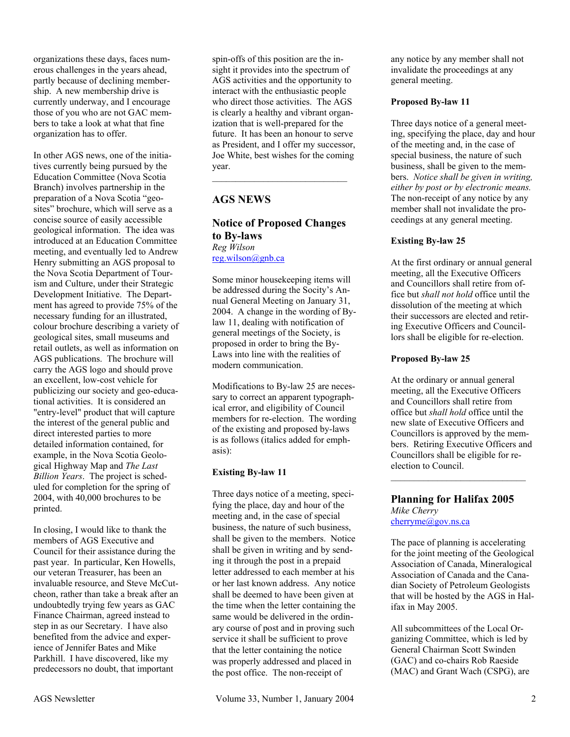organizations these days, faces numerous challenges in the years ahead, partly because of declining membership. A new membership drive is currently underway, and I encourage those of you who are not GAC members to take a look at what that fine organization has to offer.

In other AGS news, one of the initiatives currently being pursued by the Education Committee (Nova Scotia Branch) involves partnership in the preparation of a Nova Scotia "geosites" brochure, which will serve as a concise source of easily accessible geological information. The idea was introduced at an Education Committee meeting, and eventually led to Andrew Henry submitting an AGS proposal to the Nova Scotia Department of Tourism and Culture, under their Strategic Development Initiative. The Department has agreed to provide 75% of the necessary funding for an illustrated, colour brochure describing a variety of geological sites, small museums and retail outlets, as well as information on AGS publications. The brochure will carry the AGS logo and should prove an excellent, low-cost vehicle for publicizing our society and geo-educational activities. It is considered an "entry-level" product that will capture the interest of the general public and direct interested parties to more detailed information contained, for example, in the Nova Scotia Geological Highway Map and *The Last Billion Years*. The project is scheduled for completion for the spring of 2004, with 40,000 brochures to be printed.

In closing, I would like to thank the members of AGS Executive and Council for their assistance during the past year. In particular, Ken Howells, our veteran Treasurer, has been an invaluable resource, and Steve McCutcheon, rather than take a break after an undoubtedly trying few years as GAC Finance Chairman, agreed instead to step in as our Secretary. I have also benefited from the advice and experience of Jennifer Bates and Mike Parkhill. I have discovered, like my predecessors no doubt, that important

spin-offs of this position are the insight it provides into the spectrum of AGS activities and the opportunity to interact with the enthusiastic people who direct those activities. The AGS is clearly a healthy and vibrant organization that is well-prepared for the future. It has been an honour to serve as President, and I offer my successor, Joe White, best wishes for the coming year.

# **AGS NEWS**

# **Notice of Proposed Changes to By-laws**  *Reg Wilson*  reg.wilson@gnb.ca

Some minor housekeeping items will be addressed during the Socity's Annual General Meeting on January 31, 2004. A change in the wording of Bylaw 11, dealing with notification of general meetings of the Society, is proposed in order to bring the By-Laws into line with the realities of modern communication.

Modifications to By-law 25 are necessary to correct an apparent typographical error, and eligibility of Council members for re-election. The wording of the existing and proposed by-laws is as follows (italics added for emphasis):

# **Existing By-law 11**

Three days notice of a meeting, specifying the place, day and hour of the meeting and, in the case of special business, the nature of such business, shall be given to the members. Notice shall be given in writing and by sending it through the post in a prepaid letter addressed to each member at his or her last known address. Any notice shall be deemed to have been given at the time when the letter containing the same would be delivered in the ordinary course of post and in proving such service it shall be sufficient to prove that the letter containing the notice was properly addressed and placed in the post office. The non-receipt of

any notice by any member shall not invalidate the proceedings at any general meeting.

# **Proposed By-law 11**

Three days notice of a general meeting, specifying the place, day and hour of the meeting and, in the case of special business, the nature of such business, shall be given to the members. *Notice shall be given in writing, either by post or by electronic means.* The non-receipt of any notice by any member shall not invalidate the proceedings at any general meeting.

## **Existing By-law 25**

At the first ordinary or annual general meeting, all the Executive Officers and Councillors shall retire from office but *shall not hold* office until the dissolution of the meeting at which their successors are elected and retiring Executive Officers and Councillors shall be eligible for re-election.

# **Proposed By-law 25**

At the ordinary or annual general meeting, all the Executive Officers and Councillors shall retire from office but *shall hold* office until the new slate of Executive Officers and Councillors is approved by the members. Retiring Executive Officers and Councillors shall be eligible for reelection to Council.  $\overline{\phantom{a}}$  , where  $\overline{\phantom{a}}$  , where  $\overline{\phantom{a}}$  , where  $\overline{\phantom{a}}$ 

#### **Planning for Halifax 2005**  *Mike Cherry*  cherryme@gov.ns.ca

The pace of planning is accelerating for the joint meeting of the Geological Association of Canada, Mineralogical Association of Canada and the Canadian Society of Petroleum Geologists that will be hosted by the AGS in Halifax in May 2005.

All subcommittees of the Local Organizing Committee, which is led by General Chairman Scott Swinden (GAC) and co-chairs Rob Raeside (MAC) and Grant Wach (CSPG), are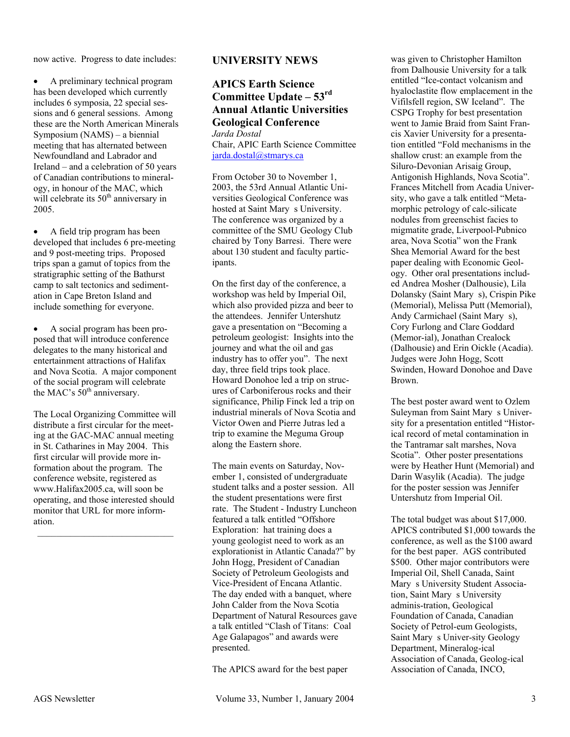now active. Progress to date includes:

• A preliminary technical program has been developed which currently includes 6 symposia, 22 special sessions and 6 general sessions. Among these are the North American Minerals Symposium (NAMS) – a biennial meeting that has alternated between Newfoundland and Labrador and Ireland – and a celebration of 50 years of Canadian contributions to mineralogy, in honour of the MAC, which will celebrate its  $50<sup>th</sup>$  anniversary in 2005.

• A field trip program has been developed that includes 6 pre-meeting and 9 post-meeting trips. Proposed trips span a gamut of topics from the stratigraphic setting of the Bathurst camp to salt tectonics and sedimentation in Cape Breton Island and include something for everyone.

• A social program has been proposed that will introduce conference delegates to the many historical and entertainment attractions of Halifax and Nova Scotia. A major component of the social program will celebrate the MAC's 50<sup>th</sup> anniversary.

The Local Organizing Committee will distribute a first circular for the meeting at the GAC-MAC annual meeting in St. Catharines in May 2004. This first circular will provide more information about the program. The conference website, registered as www.Halifax2005.ca, will soon be operating, and those interested should monitor that URL for more information.

# **UNIVERSITY NEWS**

# **APICS Earth Science Committee Update – 53rd Annual Atlantic Universities Geological Conference**

*Jarda Dostal*  Chair, APIC Earth Science Committee jarda.dostal@stmarys.ca

From October 30 to November 1, 2003, the 53rd Annual Atlantic Universities Geological Conference was hosted at Saint Mary s University. The conference was organized by a committee of the SMU Geology Club chaired by Tony Barresi. There were about 130 student and faculty participants.

On the first day of the conference, a workshop was held by Imperial Oil, which also provided pizza and beer to the attendees. Jennifer Untershutz gave a presentation on "Becoming a petroleum geologist: Insights into the journey and what the oil and gas industry has to offer you". The next day, three field trips took place. Howard Donohoe led a trip on strucures of Carboniferous rocks and their significance, Philip Finck led a trip on industrial minerals of Nova Scotia and Victor Owen and Pierre Jutras led a trip to examine the Meguma Group along the Eastern shore.

The main events on Saturday, November 1, consisted of undergraduate student talks and a poster session. All the student presentations were first rate. The Student - Industry Luncheon featured a talk entitled "Offshore Exploration: hat training does a young geologist need to work as an explorationist in Atlantic Canada?" by John Hogg, President of Canadian Society of Petroleum Geologists and Vice-President of Encana Atlantic. The day ended with a banquet, where John Calder from the Nova Scotia Department of Natural Resources gave a talk entitled "Clash of Titans: Coal Age Galapagos" and awards were presented.

The APICS award for the best paper

was given to Christopher Hamilton from Dalhousie University for a talk entitled "Ice-contact volcanism and hyaloclastite flow emplacement in the Vifilsfell region, SW Iceland". The CSPG Trophy for best presentation went to Jamie Braid from Saint Francis Xavier University for a presentation entitled "Fold mechanisms in the shallow crust: an example from the Siluro-Devonian Arisaig Group, Antigonish Highlands, Nova Scotia". Frances Mitchell from Acadia University, who gave a talk entitled "Metamorphic petrology of calc-silicate nodules from greenschist facies to migmatite grade, Liverpool-Pubnico area, Nova Scotia" won the Frank Shea Memorial Award for the best paper dealing with Economic Geology. Other oral presentations included Andrea Mosher (Dalhousie), Lila Dolansky (Saint Mary s), Crispin Pike (Memorial), Melissa Putt (Memorial), Andy Carmichael (Saint Mary s), Cory Furlong and Clare Goddard (Memor-ial), Jonathan Crealock (Dalhousie) and Erin Oickle (Acadia). Judges were John Hogg, Scott Swinden, Howard Donohoe and Dave Brown.

The best poster award went to Ozlem Suleyman from Saint Mary s University for a presentation entitled "Historical record of metal contamination in the Tantramar salt marshes, Nova Scotia". Other poster presentations were by Heather Hunt (Memorial) and Darin Wasylik (Acadia). The judge for the poster session was Jennifer Untershutz from Imperial Oil.

The total budget was about \$17,000. APICS contributed \$1,000 towards the conference, as well as the \$100 award for the best paper. AGS contributed \$500. Other major contributors were Imperial Oil, Shell Canada, Saint Mary s University Student Association, Saint Mary s University adminis-tration, Geological Foundation of Canada, Canadian Society of Petrol-eum Geologists, Saint Mary s Univer-sity Geology Department, Mineralog-ical Association of Canada, Geolog-ical Association of Canada, INCO,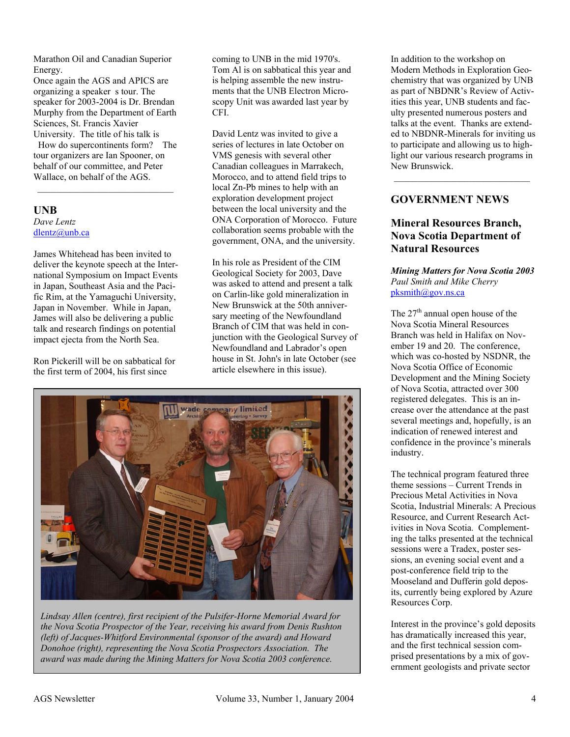Marathon Oil and Canadian Superior Energy.

Once again the AGS and APICS are organizing a speaker s tour. The speaker for 2003-2004 is Dr. Brendan Murphy from the Department of Earth Sciences, St. Francis Xavier University. The title of his talk is

How do supercontinents form? The tour organizers are Ian Spooner, on behalf of our committee, and Peter Wallace, on behalf of the AGS.

 $\mathcal{L}_\text{max}$ 

# **UNB**  *Dave Lentz*  dlentz@unb.ca

James Whitehead has been invited to deliver the keynote speech at the International Symposium on Impact Events in Japan, Southeast Asia and the Pacific Rim, at the Yamaguchi University, Japan in November. While in Japan, James will also be delivering a public talk and research findings on potential impact ejecta from the North Sea.

Ron Pickerill will be on sabbatical for the first term of 2004, his first since

coming to UNB in the mid 1970's. Tom Al is on sabbatical this year and is helping assemble the new instruments that the UNB Electron Microscopy Unit was awarded last year by CFI.

David Lentz was invited to give a series of lectures in late October on VMS genesis with several other Canadian colleagues in Marrakech, Morocco, and to attend field trips to local Zn-Pb mines to help with an exploration development project between the local university and the ONA Corporation of Morocco. Future collaboration seems probable with the government, ONA, and the university.

In his role as President of the CIM Geological Society for 2003, Dave was asked to attend and present a talk on Carlin-like gold mineralization in New Brunswick at the 50th anniversary meeting of the Newfoundland Branch of CIM that was held in conjunction with the Geological Survey of Newfoundland and Labrador's open house in St. John's in late October (see article elsewhere in this issue).



*Lindsay Allen (centre), first recipient of the Pulsifer-Horne Memorial Award for the Nova Scotia Prospector of the Year, receiving his award from Denis Rushton (left) of Jacques-Whitford Environmental (sponsor of the award) and Howard Donohoe (right), representing the Nova Scotia Prospectors Association. The award was made during the Mining Matters for Nova Scotia 2003 conference.* 

In addition to the workshop on Modern Methods in Exploration Geochemistry that was organized by UNB as part of NBDNR's Review of Activities this year, UNB students and faculty presented numerous posters and talks at the event. Thanks are extended to NBDNR-Minerals for inviting us to participate and allowing us to highlight our various research programs in New Brunswick.

# **GOVERNMENT NEWS**

# **Mineral Resources Branch, Nova Scotia Department of Natural Resources**

*Mining Matters for Nova Scotia 2003 Paul Smith and Mike Cherry*   $pksmith@gov.ns.ca$ 

The  $27<sup>th</sup>$  annual open house of the Nova Scotia Mineral Resources Branch was held in Halifax on November 19 and 20. The conference, which was co-hosted by NSDNR, the Nova Scotia Office of Economic Development and the Mining Society of Nova Scotia, attracted over 300 registered delegates. This is an increase over the attendance at the past several meetings and, hopefully, is an indication of renewed interest and confidence in the province's minerals industry.

The technical program featured three theme sessions – Current Trends in Precious Metal Activities in Nova Scotia, Industrial Minerals: A Precious Resource, and Current Research Activities in Nova Scotia. Complementing the talks presented at the technical sessions were a Tradex, poster sessions, an evening social event and a post-conference field trip to the Mooseland and Dufferin gold deposits, currently being explored by Azure Resources Corp.

Interest in the province's gold deposits has dramatically increased this year, and the first technical session comprised presentations by a mix of government geologists and private sector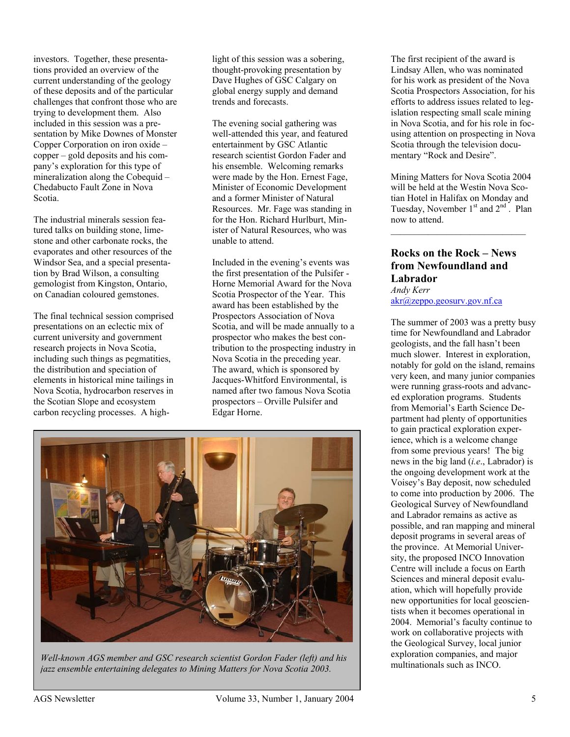investors. Together, these presentations provided an overview of the current understanding of the geology of these deposits and of the particular challenges that confront those who are trying to development them. Also included in this session was a presentation by Mike Downes of Monster Copper Corporation on iron oxide – copper – gold deposits and his company's exploration for this type of mineralization along the Cobequid – Chedabucto Fault Zone in Nova Scotia.

The industrial minerals session featured talks on building stone, limestone and other carbonate rocks, the evaporates and other resources of the Windsor Sea, and a special presentation by Brad Wilson, a consulting gemologist from Kingston, Ontario, on Canadian coloured gemstones.

The final technical session comprised presentations on an eclectic mix of current university and government research projects in Nova Scotia, including such things as pegmatities, the distribution and speciation of elements in historical mine tailings in Nova Scotia, hydrocarbon reserves in the Scotian Slope and ecosystem carbon recycling processes. A high-

light of this session was a sobering, thought-provoking presentation by Dave Hughes of GSC Calgary on global energy supply and demand trends and forecasts.

The evening social gathering was well-attended this year, and featured entertainment by GSC Atlantic research scientist Gordon Fader and his ensemble. Welcoming remarks were made by the Hon. Ernest Fage, Minister of Economic Development and a former Minister of Natural Resources. Mr. Fage was standing in for the Hon. Richard Hurlburt, Minister of Natural Resources, who was unable to attend.

Included in the evening's events was the first presentation of the Pulsifer - Horne Memorial Award for the Nova Scotia Prospector of the Year. This award has been established by the Prospectors Association of Nova Scotia, and will be made annually to a prospector who makes the best contribution to the prospecting industry in Nova Scotia in the preceding year. The award, which is sponsored by Jacques-Whitford Environmental, is named after two famous Nova Scotia prospectors – Orville Pulsifer and Edgar Horne.



Well-known AGS member and GSC research scientist Gordon Fader (left) and his exploration companies, and multinationals such as INCO. *jazz ensemble entertaining delegates to Mining Matters for Nova Scotia 2003.* 

The first recipient of the award is Lindsay Allen, who was nominated for his work as president of the Nova Scotia Prospectors Association, for his efforts to address issues related to legislation respecting small scale mining in Nova Scotia, and for his role in focusing attention on prospecting in Nova Scotia through the television documentary "Rock and Desire".

Mining Matters for Nova Scotia 2004 will be held at the Westin Nova Scotian Hotel in Halifax on Monday and Tuesday, November  $1<sup>st</sup>$  and  $2<sup>nd</sup>$ . Plan now to attend.

 $\mathcal{L}_\text{max}$ 

# **Rocks on the Rock – News from Newfoundland and Labrador**  *Andy Kerr*

akr@zeppo.geosurv.gov.nf.ca

The summer of 2003 was a pretty busy time for Newfoundland and Labrador geologists, and the fall hasn't been much slower. Interest in exploration, notably for gold on the island, remains very keen, and many junior companies were running grass-roots and advanced exploration programs. Students from Memorial's Earth Science Department had plenty of opportunities to gain practical exploration experience, which is a welcome change from some previous years! The big news in the big land (*i.e*., Labrador) is the ongoing development work at the Voisey's Bay deposit, now scheduled to come into production by 2006. The Geological Survey of Newfoundland and Labrador remains as active as possible, and ran mapping and mineral deposit programs in several areas of the province. At Memorial University, the proposed INCO Innovation Centre will include a focus on Earth Sciences and mineral deposit evaluation, which will hopefully provide new opportunities for local geoscientists when it becomes operational in 2004. Memorial's faculty continue to work on collaborative projects with the Geological Survey, local junior exploration companies, and major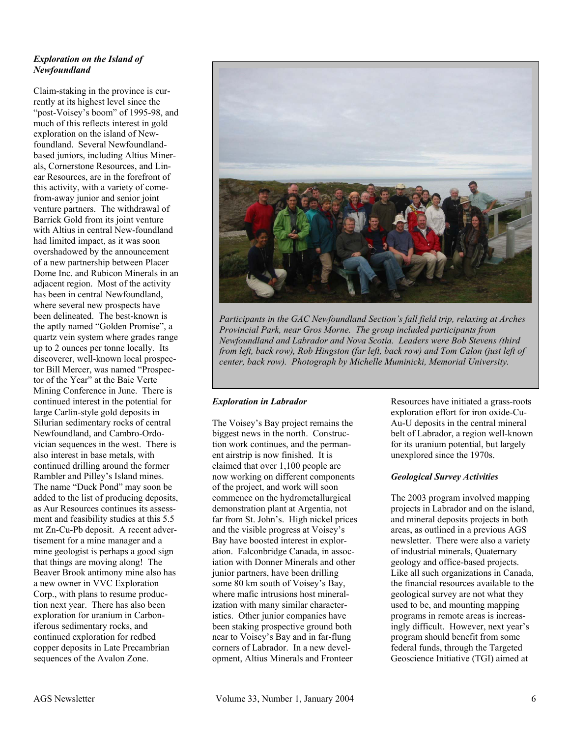# *Exploration on the Island of Newfoundland*

Claim-staking in the province is currently at its highest level since the "post-Voisey's boom" of 1995-98, and much of this reflects interest in gold exploration on the island of Newfoundland. Several Newfoundlandbased juniors, including Altius Minerals, Cornerstone Resources, and Linear Resources, are in the forefront of this activity, with a variety of comefrom-away junior and senior joint venture partners. The withdrawal of Barrick Gold from its joint venture with Altius in central New-foundland had limited impact, as it was soon overshadowed by the announcement of a new partnership between Placer Dome Inc. and Rubicon Minerals in an adjacent region. Most of the activity has been in central Newfoundland, where several new prospects have been delineated. The best-known is the aptly named "Golden Promise", a quartz vein system where grades range up to 2 ounces per tonne locally. Its discoverer, well-known local prospector Bill Mercer, was named "Prospector of the Year" at the Baie Verte Mining Conference in June. There is continued interest in the potential for large Carlin-style gold deposits in Silurian sedimentary rocks of central Newfoundland, and Cambro-Ordovician sequences in the west. There is also interest in base metals, with continued drilling around the former Rambler and Pilley's Island mines. The name "Duck Pond" may soon be added to the list of producing deposits, as Aur Resources continues its assessment and feasibility studies at this 5.5 mt Zn-Cu-Pb deposit. A recent advertisement for a mine manager and a mine geologist is perhaps a good sign that things are moving along! The Beaver Brook antimony mine also has a new owner in VVC Exploration Corp., with plans to resume production next year. There has also been exploration for uranium in Carboniferous sedimentary rocks, and continued exploration for redbed copper deposits in Late Precambrian sequences of the Avalon Zone.



*Participants in the GAC Newfoundland Section's fall field trip, relaxing at Arches Provincial Park, near Gros Morne. The group included participants from Newfoundland and Labrador and Nova Scotia. Leaders were Bob Stevens (third from left, back row), Rob Hingston (far left, back row) and Tom Calon (just left of center, back row). Photograph by Michelle Muminicki, Memorial University.* 

#### *Exploration in Labrador*

The Voisey's Bay project remains the biggest news in the north. Construction work continues, and the permanent airstrip is now finished. It is claimed that over 1,100 people are now working on different components of the project, and work will soon commence on the hydrometallurgical demonstration plant at Argentia, not far from St. John's. High nickel prices and the visible progress at Voisey's Bay have boosted interest in exploration. Falconbridge Canada, in association with Donner Minerals and other junior partners, have been drilling some 80 km south of Voisey's Bay, where mafic intrusions host mineralization with many similar characteristics. Other junior companies have been staking prospective ground both near to Voisey's Bay and in far-flung corners of Labrador. In a new development, Altius Minerals and Fronteer

Resources have initiated a grass-roots exploration effort for iron oxide-Cu-Au-U deposits in the central mineral belt of Labrador, a region well-known for its uranium potential, but largely unexplored since the 1970s.

#### *Geological Survey Activities*

The 2003 program involved mapping projects in Labrador and on the island, and mineral deposits projects in both areas, as outlined in a previous AGS newsletter. There were also a variety of industrial minerals, Quaternary geology and office-based projects. Like all such organizations in Canada, the financial resources available to the geological survey are not what they used to be, and mounting mapping programs in remote areas is increasingly difficult. However, next year's program should benefit from some federal funds, through the Targeted Geoscience Initiative (TGI) aimed at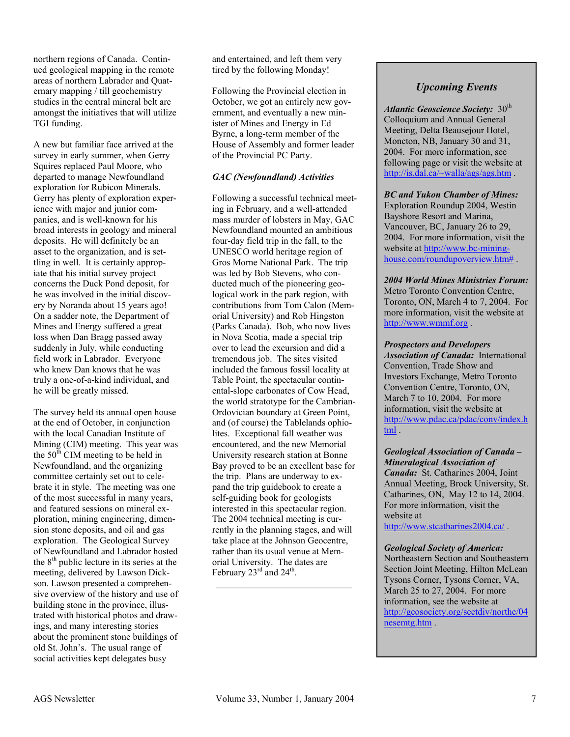northern regions of Canada. Continued geological mapping in the remote areas of northern Labrador and Quaternary mapping / till geochemistry studies in the central mineral belt are amongst the initiatives that will utilize TGI funding.

A new but familiar face arrived at the survey in early summer, when Gerry Squires replaced Paul Moore, who departed to manage Newfoundland exploration for Rubicon Minerals. Gerry has plenty of exploration experience with major and junior companies, and is well-known for his broad interests in geology and mineral deposits. He will definitely be an asset to the organization, and is settling in well. It is certainly appropiate that his initial survey project concerns the Duck Pond deposit, for he was involved in the initial discovery by Noranda about 15 years ago! On a sadder note, the Department of Mines and Energy suffered a great loss when Dan Bragg passed away suddenly in July, while conducting field work in Labrador. Everyone who knew Dan knows that he was truly a one-of-a-kind individual, and he will be greatly missed.

The survey held its annual open house at the end of October, in conjunction with the local Canadian Institute of Mining (CIM) meeting. This year was the  $50<sup>th</sup>$  CIM meeting to be held in Newfoundland, and the organizing committee certainly set out to celebrate it in style. The meeting was one of the most successful in many years, and featured sessions on mineral exploration, mining engineering, dimension stone deposits, and oil and gas exploration. The Geological Survey of Newfoundland and Labrador hosted the  $8<sup>th</sup>$  public lecture in its series at the meeting, delivered by Lawson Dickson. Lawson presented a comprehensive overview of the history and use of building stone in the province, illustrated with historical photos and drawings, and many interesting stories about the prominent stone buildings of old St. John's. The usual range of social activities kept delegates busy

and entertained, and left them very tired by the following Monday!

Following the Provincial election in October, we got an entirely new government, and eventually a new minister of Mines and Energy in Ed Byrne, a long-term member of the House of Assembly and former leader of the Provincial PC Party.

### *GAC (Newfoundland) Activities*

Following a successful technical meeting in February, and a well-attended mass murder of lobsters in May, GAC Newfoundland mounted an ambitious four-day field trip in the fall, to the UNESCO world heritage region of Gros Morne National Park. The trip was led by Bob Stevens, who conducted much of the pioneering geological work in the park region, with contributions from Tom Calon (Memorial University) and Rob Hingston (Parks Canada). Bob, who now lives in Nova Scotia, made a special trip over to lead the excursion and did a tremendous job. The sites visited included the famous fossil locality at Table Point, the spectacular continental-slope carbonates of Cow Head, the world stratotype for the Cambrian-Ordovician boundary at Green Point, and (of course) the Tablelands ophiolites. Exceptional fall weather was encountered, and the new Memorial University research station at Bonne Bay proved to be an excellent base for the trip. Plans are underway to expand the trip guidebook to create a self-guiding book for geologists interested in this spectacular region. The 2004 technical meeting is currently in the planning stages, and will take place at the Johnson Geocentre, rather than its usual venue at Memorial University. The dates are February  $23<sup>rd</sup>$  and  $24<sup>th</sup>$ .

# *Upcoming Events*

Atlantic Geoscience Society: 30<sup>th</sup> Colloquium and Annual General Meeting, Delta Beausejour Hotel, Moncton, NB, January 30 and 31, 2004. For more information, see following page or visit the website at http://is.dal.ca/~walla/ags/ags.htm .

#### *BC and Yukon Chamber of Mines:*

Exploration Roundup 2004, Westin Bayshore Resort and Marina, Vancouver, BC, January 26 to 29, 2004. For more information, visit the website at http://www.bc-mininghouse.com/roundupoverview.htm#

*2004 World Mines Ministries Forum:* Metro Toronto Convention Centre, Toronto, ON, March 4 to 7, 2004. For more information, visit the website at http://www.wmmf.org .

#### *Prospectors and Developers*

*Association of Canada:* International Convention, Trade Show and Investors Exchange, Metro Toronto Convention Centre, Toronto, ON, March 7 to 10, 2004. For more information, visit the website at http://www.pdac.ca/pdac/conv/index.h tml .

## *Geological Association of Canada – Mineralogical Association of*

*Canada:* St. Catharines 2004, Joint Annual Meeting, Brock University, St. Catharines, ON, May 12 to 14, 2004. For more information, visit the website at http://www.stcatharines2004.ca/ .

#### *Geological Society of America:*

Northeastern Section and Southeastern Section Joint Meeting, Hilton McLean Tysons Corner, Tysons Corner, VA, March 25 to 27, 2004. For more information, see the website at http://geosociety.org/sectdiv/northe/04 nesemtg.htm .

 $\mathcal{L}_\text{max}$